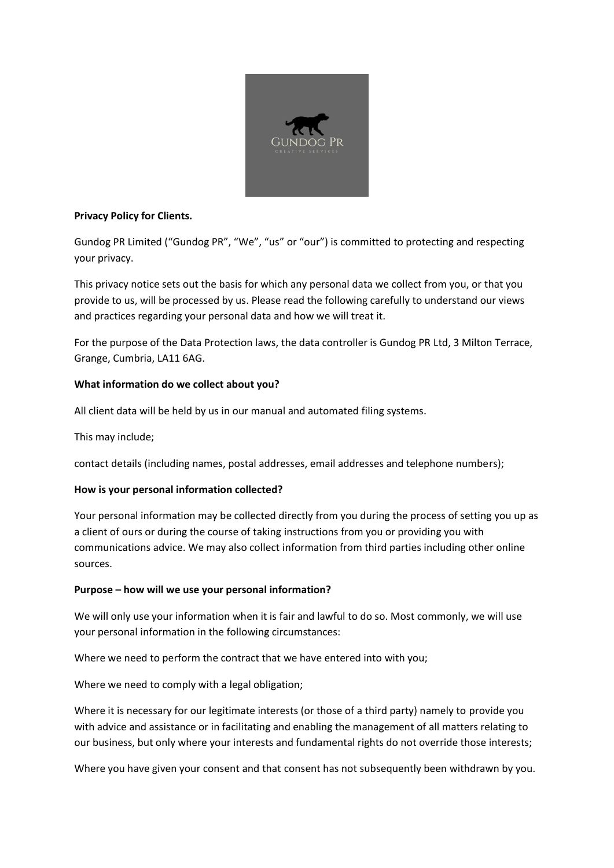

## **Privacy Policy for Clients.**

Gundog PR Limited ("Gundog PR", "We", "us" or "our") is committed to protecting and respecting your privacy.

This privacy notice sets out the basis for which any personal data we collect from you, or that you provide to us, will be processed by us. Please read the following carefully to understand our views and practices regarding your personal data and how we will treat it.

For the purpose of the Data Protection laws, the data controller is Gundog PR Ltd, 3 Milton Terrace, Grange, Cumbria, LA11 6AG.

# **What information do we collect about you?**

All client data will be held by us in our manual and automated filing systems.

This may include;

contact details (including names, postal addresses, email addresses and telephone numbers);

# **How is your personal information collected?**

Your personal information may be collected directly from you during the process of setting you up as a client of ours or during the course of taking instructions from you or providing you with communications advice. We may also collect information from third parties including other online sources.

# **Purpose – how will we use your personal information?**

We will only use your information when it is fair and lawful to do so. Most commonly, we will use your personal information in the following circumstances:

Where we need to perform the contract that we have entered into with you;

Where we need to comply with a legal obligation;

Where it is necessary for our legitimate interests (or those of a third party) namely to provide you with advice and assistance or in facilitating and enabling the management of all matters relating to our business, but only where your interests and fundamental rights do not override those interests;

Where you have given your consent and that consent has not subsequently been withdrawn by you.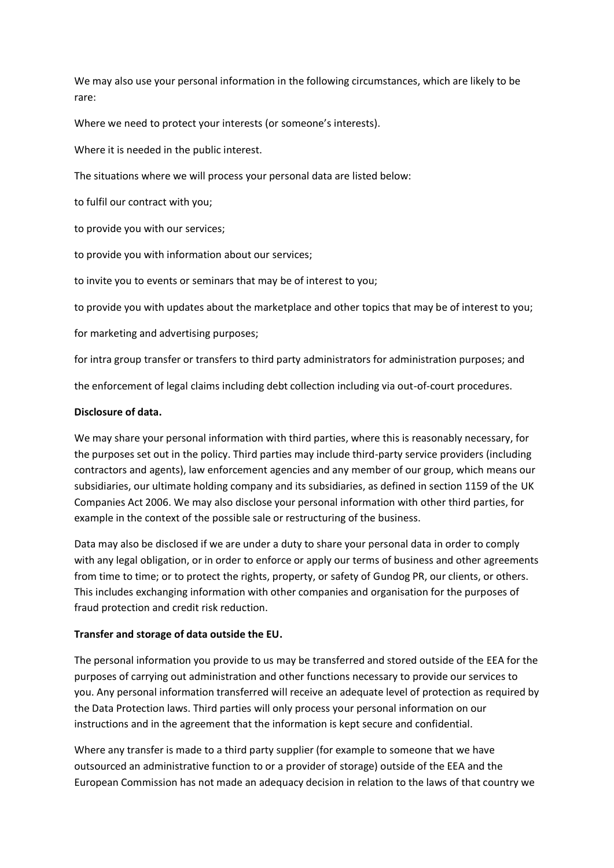We may also use your personal information in the following circumstances, which are likely to be rare:

Where we need to protect your interests (or someone's interests).

Where it is needed in the public interest.

The situations where we will process your personal data are listed below:

to fulfil our contract with you;

to provide you with our services;

to provide you with information about our services;

to invite you to events or seminars that may be of interest to you;

to provide you with updates about the marketplace and other topics that may be of interest to you;

for marketing and advertising purposes;

for intra group transfer or transfers to third party administrators for administration purposes; and

the enforcement of legal claims including debt collection including via out-of-court procedures.

#### **Disclosure of data.**

We may share your personal information with third parties, where this is reasonably necessary, for the purposes set out in the policy. Third parties may include third-party service providers (including contractors and agents), law enforcement agencies and any member of our group, which means our subsidiaries, our ultimate holding company and its subsidiaries, as defined in section 1159 of the UK Companies Act 2006. We may also disclose your personal information with other third parties, for example in the context of the possible sale or restructuring of the business.

Data may also be disclosed if we are under a duty to share your personal data in order to comply with any legal obligation, or in order to enforce or apply our terms of business and other agreements from time to time; or to protect the rights, property, or safety of Gundog PR, our clients, or others. This includes exchanging information with other companies and organisation for the purposes of fraud protection and credit risk reduction.

#### **Transfer and storage of data outside the EU.**

The personal information you provide to us may be transferred and stored outside of the EEA for the purposes of carrying out administration and other functions necessary to provide our services to you. Any personal information transferred will receive an adequate level of protection as required by the Data Protection laws. Third parties will only process your personal information on our instructions and in the agreement that the information is kept secure and confidential.

Where any transfer is made to a third party supplier (for example to someone that we have outsourced an administrative function to or a provider of storage) outside of the EEA and the European Commission has not made an adequacy decision in relation to the laws of that country we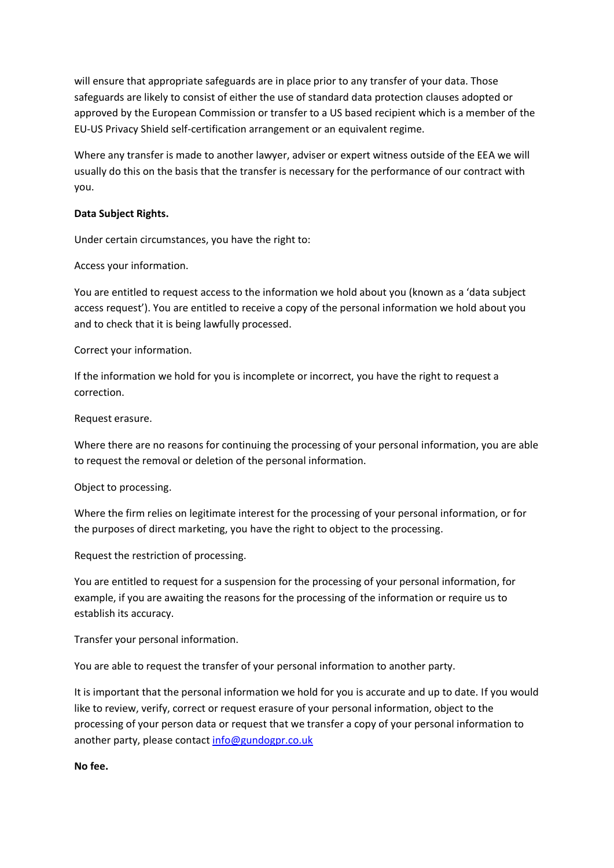will ensure that appropriate safeguards are in place prior to any transfer of your data. Those safeguards are likely to consist of either the use of standard data protection clauses adopted or approved by the European Commission or transfer to a US based recipient which is a member of the EU-US Privacy Shield self-certification arrangement or an equivalent regime.

Where any transfer is made to another lawyer, adviser or expert witness outside of the EEA we will usually do this on the basis that the transfer is necessary for the performance of our contract with you.

### **Data Subject Rights.**

Under certain circumstances, you have the right to:

Access your information.

You are entitled to request access to the information we hold about you (known as a 'data subject access request'). You are entitled to receive a copy of the personal information we hold about you and to check that it is being lawfully processed.

Correct your information.

If the information we hold for you is incomplete or incorrect, you have the right to request a correction.

Request erasure.

Where there are no reasons for continuing the processing of your personal information, you are able to request the removal or deletion of the personal information.

Object to processing.

Where the firm relies on legitimate interest for the processing of your personal information, or for the purposes of direct marketing, you have the right to object to the processing.

Request the restriction of processing.

You are entitled to request for a suspension for the processing of your personal information, for example, if you are awaiting the reasons for the processing of the information or require us to establish its accuracy.

Transfer your personal information.

You are able to request the transfer of your personal information to another party.

It is important that the personal information we hold for you is accurate and up to date. If you would like to review, verify, correct or request erasure of your personal information, object to the processing of your person data or request that we transfer a copy of your personal information to another party, please contact [info@gundogpr.co.uk](mailto:info@gundogpr.co.uk)

**No fee.**